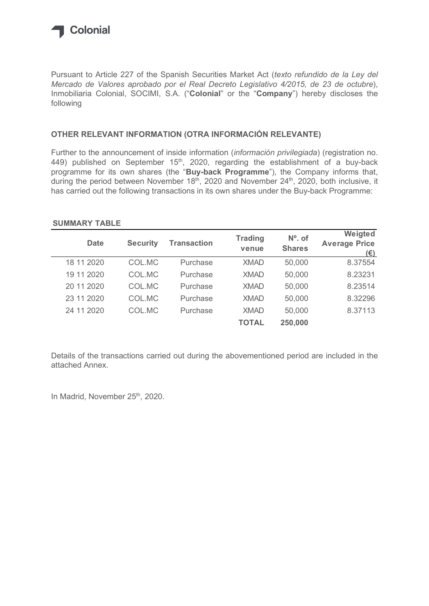

### OTHER RELEVANT INFORMATION (OTRA INFORMACIÓN RELEVANTE)

### SUMMARY TABLE

| Mercado de Valores aprobado por el Real Decreto Legislativo 4/2015, de 23 de octubre),<br>Inmobiliaria Colonial, SOCIMI, S.A. ("Colonial" or the "Company") hereby discloses the<br>following                   |                 |                                                                                    |                |               |                                      |
|-----------------------------------------------------------------------------------------------------------------------------------------------------------------------------------------------------------------|-----------------|------------------------------------------------------------------------------------|----------------|---------------|--------------------------------------|
| OTHER RELEVANT INFORMATION (OTRA INFORMACIÓN RELEVANTE)                                                                                                                                                         |                 |                                                                                    |                |               |                                      |
| Further to the announcement of inside information (información privilegiada) (registration no.<br>449) published on September $15th$ , 2020, regarding the establishment of a buy-back                          |                 | programme for its own shares (the "Buy-back Programme"), the Company informs that, |                |               |                                      |
| during the period between November 18th, 2020 and November 24th, 2020, both inclusive, it<br>has carried out the following transactions in its own shares under the Buy-back Programme:<br><b>SUMMARY TABLE</b> |                 |                                                                                    | <b>Trading</b> | $No$ . of     | Weigted                              |
| <b>Date</b>                                                                                                                                                                                                     | <b>Security</b> | <b>Transaction</b>                                                                 | venue          | <b>Shares</b> | <b>Average Price</b><br>$(\epsilon)$ |
| 18 11 2020                                                                                                                                                                                                      | COL.MC          | Purchase                                                                           | <b>XMAD</b>    | 50,000        | 8.37554                              |
| 19 11 2020                                                                                                                                                                                                      | COL.MC          | Purchase                                                                           | <b>XMAD</b>    | 50,000        | 8.23231                              |
| 20 11 2020                                                                                                                                                                                                      | COL.MC          | Purchase                                                                           | <b>XMAD</b>    | 50,000        | 8.23514                              |
| 23 11 2020                                                                                                                                                                                                      | COL.MC          | Purchase                                                                           | <b>XMAD</b>    | 50,000        | 8.32296                              |
| 24 11 2020                                                                                                                                                                                                      | COL.MC          | Purchase                                                                           | <b>XMAD</b>    | 50,000        | 8.37113                              |

Details of the transactions carried out during the abovementioned period are included in the attached Annex.

In Madrid, November 25<sup>th</sup>, 2020.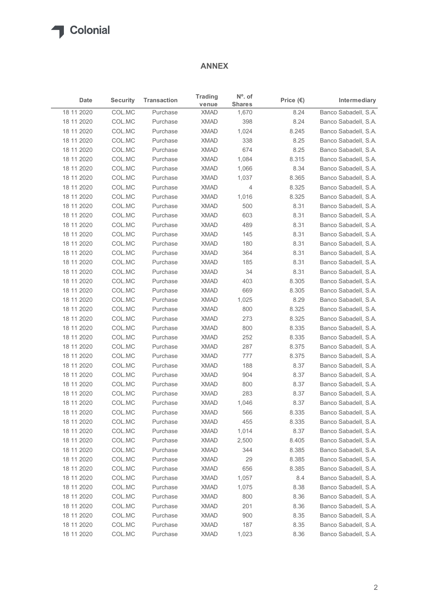## ANNEX

| Date<br>18 11 2020 |                 |                    | <b>ANNEX</b>            |                            |                    |                      |  |  |
|--------------------|-----------------|--------------------|-------------------------|----------------------------|--------------------|----------------------|--|--|
|                    | <b>Security</b> | <b>Transaction</b> | <b>Trading</b><br>venue | $No$ . of<br><b>Shares</b> | Price $(\epsilon)$ | Intermediary         |  |  |
|                    | COL.MC          | Purchase           | <b>XMAD</b>             | 1,670                      | 8.24               | Banco Sabadell, S.A. |  |  |
| 18 11 2020         | COL.MC          | Purchase           | XMAD                    | 398                        | 8.24               | Banco Sabadell, S.A. |  |  |
| 18 11 2020         | COL.MC          | Purchase           | <b>XMAD</b>             | 1,024                      | 8.245              | Banco Sabadell, S.A. |  |  |
| 18 11 2020         | COL.MC          | Purchase           | <b>XMAD</b>             | 338                        | 8.25               | Banco Sabadell, S.A. |  |  |
| 18 11 2020         | COL.MC          | Purchase           | <b>XMAD</b>             | 674                        | 8.25               | Banco Sabadell, S.A. |  |  |
| 18 11 2020         | COL.MC          | Purchase           | <b>XMAD</b>             | 1,084                      | 8.315              | Banco Sabadell, S.A. |  |  |
| 18 11 2020         | COL.MC          | Purchase           | <b>XMAD</b>             | 1,066                      | 8.34               | Banco Sabadell, S.A. |  |  |
| 18 11 2020         | COL.MC          | Purchase           | <b>XMAD</b>             | 1,037                      | 8.365              | Banco Sabadell, S.A. |  |  |
| 18 11 2020         | COL.MC          | Purchase           | <b>XMAD</b>             | $\overline{4}$             | 8.325              | Banco Sabadell, S.A. |  |  |
| 18 11 2020         | COL.MC          | Purchase           | <b>XMAD</b>             | 1,016                      | 8.325              | Banco Sabadell, S.A. |  |  |
| 18 11 2020         | COL.MC          | Purchase           | <b>XMAD</b>             | 500                        | 8.31               | Banco Sabadell, S.A. |  |  |
| 18 11 2020         | COL.MC          | Purchase           | <b>XMAD</b>             | 603                        | 8.31               | Banco Sabadell, S.A. |  |  |
| 18 11 2020         | COL.MC          | Purchase           | <b>XMAD</b>             | 489                        | 8.31               | Banco Sabadell, S.A. |  |  |
| 18 11 2020         | COL.MC          | Purchase           | XMAD                    | 145                        | 8.31               | Banco Sabadell, S.A. |  |  |
| 18 11 2020         | COL.MC          | Purchase           | XMAD                    | 180                        | 8.31               | Banco Sabadell, S.A. |  |  |
| 18 11 2020         | COL.MC          | Purchase           | <b>XMAD</b>             | 364                        | 8.31               | Banco Sabadell, S.A. |  |  |
| 18 11 2020         | COL.MC          | Purchase           | <b>XMAD</b>             | 185                        | 8.31               | Banco Sabadell, S.A. |  |  |
| 18 11 2020         | COL.MC          | Purchase           | <b>XMAD</b>             | 34                         | 8.31               | Banco Sabadell, S.A. |  |  |
| 18 11 2020         | COL.MC          | Purchase           | <b>XMAD</b>             | 403                        | 8.305              | Banco Sabadell, S.A. |  |  |
| 18 11 2020         | COL.MC          | Purchase           | <b>XMAD</b>             | 669                        | 8.305              | Banco Sabadell, S.A. |  |  |
| 18 11 2020         | COL.MC          | Purchase           | <b>XMAD</b>             | 1,025                      | 8.29               | Banco Sabadell, S.A. |  |  |
| 18 11 2020         | COL.MC          | Purchase           | <b>XMAD</b>             | 800                        | 8.325              | Banco Sabadell, S.A. |  |  |
| 18 11 2020         | COL.MC          | Purchase           | <b>XMAD</b>             | 273                        | 8.325              | Banco Sabadell, S.A. |  |  |
| 18 11 2020         | COL.MC          | Purchase           | <b>XMAD</b>             | 800                        | 8.335              | Banco Sabadell, S.A. |  |  |
| 18 11 2020         | COL.MC          | Purchase           | <b>XMAD</b>             | 252                        | 8.335              | Banco Sabadell, S.A. |  |  |
| 18 11 2020         | COL.MC          | Purchase           | <b>XMAD</b>             | 287                        | 8.375              | Banco Sabadell, S.A. |  |  |
| 18 11 2020         | COL.MC          | Purchase           | <b>XMAD</b>             | 777                        | 8.375              | Banco Sabadell, S.A. |  |  |
| 18 11 2020         | COL.MC          | Purchase           | <b>XMAD</b>             | 188                        | 8.37               | Banco Sabadell, S.A. |  |  |
| 18 11 2020         | COL.MC          | Purchase           | <b>XMAD</b>             | 904                        | 8.37               | Banco Sabadell, S.A. |  |  |
| 18 11 2020         | COL.MC          | Purchase           | <b>XMAD</b>             | 800                        | 8.37               | Banco Sabadell, S.A. |  |  |
| 18 11 2020         | COL.MC          | Purchase           | <b>XMAD</b>             | 283                        | 8.37               | Banco Sabadell, S.A. |  |  |
| 18 11 2020         | COL.MC          | Purchase           | <b>XMAD</b>             | 1,046                      | 8.37               | Banco Sabadell, S.A. |  |  |
| 18 11 2020         | COL.MC          | Purchase           | <b>XMAD</b>             | 566                        | 8.335              | Banco Sabadell, S.A. |  |  |
| 18 11 2020         | COL.MC          | Purchase           | <b>XMAD</b>             | 455                        | 8.335              | Banco Sabadell, S.A. |  |  |
| 18 11 2020         | COL.MC          | Purchase           | XMAD                    | 1,014                      | 8.37               | Banco Sabadell, S.A. |  |  |
| 18 11 2020         | COL.MC          | Purchase           | <b>XMAD</b>             | 2,500                      | 8.405              | Banco Sabadell, S.A. |  |  |
| 18 11 2020         | COL.MC          | Purchase           | <b>XMAD</b>             | 344                        | 8.385              | Banco Sabadell, S.A. |  |  |
| 18 11 2020         | COL.MC          | Purchase           | <b>XMAD</b>             | 29                         | 8.385              | Banco Sabadell, S.A. |  |  |
| 18 11 2020         | COL.MC          | Purchase           | <b>XMAD</b>             | 656                        | 8.385              | Banco Sabadell, S.A. |  |  |
| 18 11 2020         | COL.MC          | Purchase           | <b>XMAD</b>             | 1,057                      | 8.4                | Banco Sabadell, S.A. |  |  |
| 18 11 2020         | COL.MC          | Purchase           | XMAD                    | 1,075                      | 8.38               | Banco Sabadell, S.A. |  |  |
| 18 11 2020         | COL.MC          | Purchase           | <b>XMAD</b>             | 800                        | 8.36               | Banco Sabadell, S.A. |  |  |
| 18 11 2020         | COL.MC          | Purchase           | <b>XMAD</b>             | 201                        | 8.36               | Banco Sabadell, S.A. |  |  |
| 18 11 2020         | COL.MC          | Purchase           | <b>XMAD</b>             | 900                        | 8.35               | Banco Sabadell, S.A. |  |  |
| 18 11 2020         | COL.MC          | Purchase           | <b>XMAD</b>             | 187                        | 8.35               | Banco Sabadell, S.A. |  |  |
| 18 11 2020         | COL.MC          | Purchase           | <b>XMAD</b>             | 1,023                      | 8.36               | Banco Sabadell, S.A. |  |  |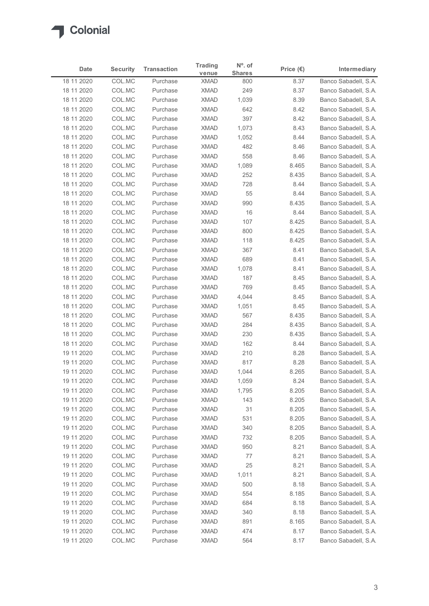| venue<br>Banco Sabadell, S.A.<br>18 11 2020<br>COL.MC<br><b>XMAD</b><br>8.37<br>Purchase<br>800<br>COL.MC<br><b>XMAD</b><br>249<br>8.37<br>Banco Sabadell, S.A.<br>18 11 2020<br>Purchase<br>COL.MC<br><b>XMAD</b><br>1,039<br>8.39<br>Banco Sabadell, S.A.<br>18 11 2020<br>Purchase<br><b>XMAD</b><br>642<br>18 11 2020<br>COL.MC<br>Purchase<br>8.42<br>Banco Sabadell, S.A.<br>COL.MC<br><b>XMAD</b><br>397<br>18 11 2020<br>Purchase<br>8.42<br>Banco Sabadell, S.A.<br>COL.MC<br><b>XMAD</b><br>1,073<br>Banco Sabadell, S.A.<br>18 11 2020<br>Purchase<br>8.43<br>COL.MC<br><b>XMAD</b><br>Banco Sabadell, S.A.<br>18 11 2020<br>Purchase<br>1,052<br>8.44<br>482<br>18 11 2020<br>COL.MC<br>Purchase<br><b>XMAD</b><br>8.46<br>Banco Sabadell, S.A.<br>COL.MC<br>558<br>18 11 2020<br><b>XMAD</b><br>8.46<br>Banco Sabadell, S.A.<br>Purchase<br>COL.MC<br><b>XMAD</b><br>18 11 2020<br>Purchase<br>1,089<br>8.465<br>Banco Sabadell, S.A.<br>COL.MC<br><b>XMAD</b><br>252<br>18 11 2020<br>Purchase<br>8.435<br>Banco Sabadell, S.A.<br>COL.MC<br><b>XMAD</b><br>728<br>Banco Sabadell, S.A.<br>18 11 2020<br>Purchase<br>8.44<br><b>XMAD</b><br>55<br>18 11 2020<br>COL.MC<br>Purchase<br>8.44<br>Banco Sabadell, S.A.<br>990<br>18 11 2020<br>COL.MC<br>XMAD<br>8.435<br>Banco Sabadell, S.A.<br>Purchase<br>18 11 2020<br>XMAD<br>16<br>Banco Sabadell, S.A.<br>COL.MC<br>Purchase<br>8.44<br>XMAD<br>8.425<br>18 11 2020<br>COL.MC<br>Purchase<br>107<br>Banco Sabadell, S.A.<br><b>XMAD</b><br>8.425<br>18 11 2020<br>COL.MC<br>Purchase<br>800<br>Banco Sabadell, S.A.<br>COL.MC<br><b>XMAD</b><br>8.425<br>Banco Sabadell, S.A.<br>18 11 2020<br>Purchase<br>118<br><b>XMAD</b><br>Banco Sabadell, S.A.<br>18 11 2020<br>COL.MC<br>Purchase<br>367<br>8.41<br>18 11 2020<br>COL.MC<br>Purchase<br><b>XMAD</b><br>689<br>8.41<br>Banco Sabadell, S.A.<br>18 11 2020<br>COL.MC<br><b>XMAD</b><br>1,078<br>8.41<br>Banco Sabadell, S.A.<br>Purchase<br>18 11 2020<br>COL.MC<br><b>XMAD</b><br>187<br>8.45<br>Purchase<br>Banco Sabadell, S.A.<br>18 11 2020<br>COL.MC<br>Purchase<br>XMAD<br>769<br>8.45<br>Banco Sabadell, S.A.<br>18 11 2020<br>COL.MC<br>Purchase<br><b>XMAD</b><br>4,044<br>8.45<br>Banco Sabadell, S.A.<br>Banco Sabadell, S.A.<br>18 11 2020<br>COL.MC<br>Purchase<br><b>XMAD</b><br>1,051<br>8.45<br>COL.MC<br>18 11 2020<br><b>XMAD</b><br>567<br>8.435<br>Banco Sabadell, S.A.<br>Purchase<br>284<br>8.435<br>18 11 2020<br>COL.MC<br>XMAD<br>Banco Sabadell, S.A.<br>Purchase<br><b>XMAD</b><br>8.435<br>18 11 2020<br>COL.MC<br>230<br>Banco Sabadell, S.A.<br>Purchase<br>XMAD<br>Banco Sabadell, S.A.<br>18 11 2020<br>COL.MC<br>Purchase<br>162<br>8.44<br>COL.MC<br><b>XMAD</b><br>210<br>19 11 2020<br>Purchase<br>8.28<br>Banco Sabadell, S.A.<br><b>XMAD</b><br>817<br>8.28<br>19 11 2020<br>COL.MC<br>Purchase<br>Banco Sabadell, S.A.<br>19 11 2020<br>COL.MC<br>Purchase<br><b>XMAD</b><br>1,044<br>8.265<br>Banco Sabadell, S.A.<br><b>XMAD</b><br>8.24<br>19 11 2020<br>COL.MC<br>Purchase<br>1,059<br>Banco Sabadell, S.A.<br><b>XMAD</b><br>8.205<br>19 11 2020<br>COL.MC<br>Purchase<br>1,795<br>Banco Sabadell, S.A.<br>XMAD<br>8.205<br>19 11 2020<br>COL.MC<br>Purchase<br>143<br>Banco Sabadell, S.A.<br>19 11 2020<br>COL.MC<br>Purchase<br>XMAD<br>31<br>8.205<br>Banco Sabadell, S.A.<br>19 11 2020<br>COL.MC<br>Purchase<br><b>XMAD</b><br>531<br>8.205<br>Banco Sabadell, S.A.<br>COL.MC<br>340<br>8.205<br>19 11 2020<br><b>XMAD</b><br>Banco Sabadell, S.A.<br>Purchase<br>XMAD<br>8.205<br>19 11 2020<br>COL.MC<br>732<br>Banco Sabadell, S.A.<br>Purchase<br><b>XMAD</b><br>8.21<br>19 11 2020<br>COL.MC<br>Purchase<br>950<br>Banco Sabadell, S.A.<br>COL.MC<br><b>XMAD</b><br>77<br>8.21<br>Banco Sabadell, S.A.<br>19 11 2020<br>Purchase<br>19 11 2020<br>COL.MC<br>Purchase<br><b>XMAD</b><br>25<br>8.21<br>Banco Sabadell, S.A.<br>8.21<br>19 11 2020<br>COL.MC<br>Purchase<br><b>XMAD</b><br>1,011<br>Banco Sabadell, S.A.<br>500<br>19 11 2020<br>COL.MC<br><b>XMAD</b><br>8.18<br>Banco Sabadell, S.A.<br>Purchase<br>XMAD<br>8.185<br>19 11 2020<br>COL.MC<br>Purchase<br>554<br>Banco Sabadell, S.A.<br>XMAD<br>19 11 2020<br>COL.MC<br>684<br>8.18<br>Banco Sabadell, S.A.<br>Purchase<br>19 11 2020<br>COL.MC<br>Purchase<br><b>XMAD</b><br>340<br>8.18<br>Banco Sabadell, S.A.<br><b>XMAD</b><br>19 11 2020<br>COL.MC<br>Purchase<br>891<br>8.165<br>Banco Sabadell, S.A.<br>COL.MC<br>19 11 2020<br>Purchase<br><b>XMAD</b><br>474<br>8.17<br>Banco Sabadell, S.A.<br>19 11 2020<br>Banco Sabadell, S.A. | Date | <b>Security</b> | <b>Transaction</b> | <b>Trading</b> | $No$ . of     | Price $(\epsilon)$ | Intermediary |
|---------------------------------------------------------------------------------------------------------------------------------------------------------------------------------------------------------------------------------------------------------------------------------------------------------------------------------------------------------------------------------------------------------------------------------------------------------------------------------------------------------------------------------------------------------------------------------------------------------------------------------------------------------------------------------------------------------------------------------------------------------------------------------------------------------------------------------------------------------------------------------------------------------------------------------------------------------------------------------------------------------------------------------------------------------------------------------------------------------------------------------------------------------------------------------------------------------------------------------------------------------------------------------------------------------------------------------------------------------------------------------------------------------------------------------------------------------------------------------------------------------------------------------------------------------------------------------------------------------------------------------------------------------------------------------------------------------------------------------------------------------------------------------------------------------------------------------------------------------------------------------------------------------------------------------------------------------------------------------------------------------------------------------------------------------------------------------------------------------------------------------------------------------------------------------------------------------------------------------------------------------------------------------------------------------------------------------------------------------------------------------------------------------------------------------------------------------------------------------------------------------------------------------------------------------------------------------------------------------------------------------------------------------------------------------------------------------------------------------------------------------------------------------------------------------------------------------------------------------------------------------------------------------------------------------------------------------------------------------------------------------------------------------------------------------------------------------------------------------------------------------------------------------------------------------------------------------------------------------------------------------------------------------------------------------------------------------------------------------------------------------------------------------------------------------------------------------------------------------------------------------------------------------------------------------------------------------------------------------------------------------------------------------------------------------------------------------------------------------------------------------------------------------------------------------------------------------------------------------------------------------------------------------------------------------------------------------------------------------------------------------------------------------------------------------------------------------------------------------------------------------------------------------------------------------------------------------------------------------------------------------------------------------------------------------------------------------------------------------------------------------------------------------------------------------------------------------------------------------------------------------------------------------------------------------------------------------------------|------|-----------------|--------------------|----------------|---------------|--------------------|--------------|
|                                                                                                                                                                                                                                                                                                                                                                                                                                                                                                                                                                                                                                                                                                                                                                                                                                                                                                                                                                                                                                                                                                                                                                                                                                                                                                                                                                                                                                                                                                                                                                                                                                                                                                                                                                                                                                                                                                                                                                                                                                                                                                                                                                                                                                                                                                                                                                                                                                                                                                                                                                                                                                                                                                                                                                                                                                                                                                                                                                                                                                                                                                                                                                                                                                                                                                                                                                                                                                                                                                                                                                                                                                                                                                                                                                                                                                                                                                                                                                                                                                                                                                                                                                                                                                                                                                                                                                                                                                                                                                                                                                                             |      |                 |                    |                | <b>Shares</b> |                    |              |
|                                                                                                                                                                                                                                                                                                                                                                                                                                                                                                                                                                                                                                                                                                                                                                                                                                                                                                                                                                                                                                                                                                                                                                                                                                                                                                                                                                                                                                                                                                                                                                                                                                                                                                                                                                                                                                                                                                                                                                                                                                                                                                                                                                                                                                                                                                                                                                                                                                                                                                                                                                                                                                                                                                                                                                                                                                                                                                                                                                                                                                                                                                                                                                                                                                                                                                                                                                                                                                                                                                                                                                                                                                                                                                                                                                                                                                                                                                                                                                                                                                                                                                                                                                                                                                                                                                                                                                                                                                                                                                                                                                                             |      |                 |                    |                |               |                    |              |
|                                                                                                                                                                                                                                                                                                                                                                                                                                                                                                                                                                                                                                                                                                                                                                                                                                                                                                                                                                                                                                                                                                                                                                                                                                                                                                                                                                                                                                                                                                                                                                                                                                                                                                                                                                                                                                                                                                                                                                                                                                                                                                                                                                                                                                                                                                                                                                                                                                                                                                                                                                                                                                                                                                                                                                                                                                                                                                                                                                                                                                                                                                                                                                                                                                                                                                                                                                                                                                                                                                                                                                                                                                                                                                                                                                                                                                                                                                                                                                                                                                                                                                                                                                                                                                                                                                                                                                                                                                                                                                                                                                                             |      |                 |                    |                |               |                    |              |
|                                                                                                                                                                                                                                                                                                                                                                                                                                                                                                                                                                                                                                                                                                                                                                                                                                                                                                                                                                                                                                                                                                                                                                                                                                                                                                                                                                                                                                                                                                                                                                                                                                                                                                                                                                                                                                                                                                                                                                                                                                                                                                                                                                                                                                                                                                                                                                                                                                                                                                                                                                                                                                                                                                                                                                                                                                                                                                                                                                                                                                                                                                                                                                                                                                                                                                                                                                                                                                                                                                                                                                                                                                                                                                                                                                                                                                                                                                                                                                                                                                                                                                                                                                                                                                                                                                                                                                                                                                                                                                                                                                                             |      |                 |                    |                |               |                    |              |
|                                                                                                                                                                                                                                                                                                                                                                                                                                                                                                                                                                                                                                                                                                                                                                                                                                                                                                                                                                                                                                                                                                                                                                                                                                                                                                                                                                                                                                                                                                                                                                                                                                                                                                                                                                                                                                                                                                                                                                                                                                                                                                                                                                                                                                                                                                                                                                                                                                                                                                                                                                                                                                                                                                                                                                                                                                                                                                                                                                                                                                                                                                                                                                                                                                                                                                                                                                                                                                                                                                                                                                                                                                                                                                                                                                                                                                                                                                                                                                                                                                                                                                                                                                                                                                                                                                                                                                                                                                                                                                                                                                                             |      |                 |                    |                |               |                    |              |
|                                                                                                                                                                                                                                                                                                                                                                                                                                                                                                                                                                                                                                                                                                                                                                                                                                                                                                                                                                                                                                                                                                                                                                                                                                                                                                                                                                                                                                                                                                                                                                                                                                                                                                                                                                                                                                                                                                                                                                                                                                                                                                                                                                                                                                                                                                                                                                                                                                                                                                                                                                                                                                                                                                                                                                                                                                                                                                                                                                                                                                                                                                                                                                                                                                                                                                                                                                                                                                                                                                                                                                                                                                                                                                                                                                                                                                                                                                                                                                                                                                                                                                                                                                                                                                                                                                                                                                                                                                                                                                                                                                                             |      |                 |                    |                |               |                    |              |
|                                                                                                                                                                                                                                                                                                                                                                                                                                                                                                                                                                                                                                                                                                                                                                                                                                                                                                                                                                                                                                                                                                                                                                                                                                                                                                                                                                                                                                                                                                                                                                                                                                                                                                                                                                                                                                                                                                                                                                                                                                                                                                                                                                                                                                                                                                                                                                                                                                                                                                                                                                                                                                                                                                                                                                                                                                                                                                                                                                                                                                                                                                                                                                                                                                                                                                                                                                                                                                                                                                                                                                                                                                                                                                                                                                                                                                                                                                                                                                                                                                                                                                                                                                                                                                                                                                                                                                                                                                                                                                                                                                                             |      |                 |                    |                |               |                    |              |
|                                                                                                                                                                                                                                                                                                                                                                                                                                                                                                                                                                                                                                                                                                                                                                                                                                                                                                                                                                                                                                                                                                                                                                                                                                                                                                                                                                                                                                                                                                                                                                                                                                                                                                                                                                                                                                                                                                                                                                                                                                                                                                                                                                                                                                                                                                                                                                                                                                                                                                                                                                                                                                                                                                                                                                                                                                                                                                                                                                                                                                                                                                                                                                                                                                                                                                                                                                                                                                                                                                                                                                                                                                                                                                                                                                                                                                                                                                                                                                                                                                                                                                                                                                                                                                                                                                                                                                                                                                                                                                                                                                                             |      |                 |                    |                |               |                    |              |
|                                                                                                                                                                                                                                                                                                                                                                                                                                                                                                                                                                                                                                                                                                                                                                                                                                                                                                                                                                                                                                                                                                                                                                                                                                                                                                                                                                                                                                                                                                                                                                                                                                                                                                                                                                                                                                                                                                                                                                                                                                                                                                                                                                                                                                                                                                                                                                                                                                                                                                                                                                                                                                                                                                                                                                                                                                                                                                                                                                                                                                                                                                                                                                                                                                                                                                                                                                                                                                                                                                                                                                                                                                                                                                                                                                                                                                                                                                                                                                                                                                                                                                                                                                                                                                                                                                                                                                                                                                                                                                                                                                                             |      |                 |                    |                |               |                    |              |
|                                                                                                                                                                                                                                                                                                                                                                                                                                                                                                                                                                                                                                                                                                                                                                                                                                                                                                                                                                                                                                                                                                                                                                                                                                                                                                                                                                                                                                                                                                                                                                                                                                                                                                                                                                                                                                                                                                                                                                                                                                                                                                                                                                                                                                                                                                                                                                                                                                                                                                                                                                                                                                                                                                                                                                                                                                                                                                                                                                                                                                                                                                                                                                                                                                                                                                                                                                                                                                                                                                                                                                                                                                                                                                                                                                                                                                                                                                                                                                                                                                                                                                                                                                                                                                                                                                                                                                                                                                                                                                                                                                                             |      |                 |                    |                |               |                    |              |
|                                                                                                                                                                                                                                                                                                                                                                                                                                                                                                                                                                                                                                                                                                                                                                                                                                                                                                                                                                                                                                                                                                                                                                                                                                                                                                                                                                                                                                                                                                                                                                                                                                                                                                                                                                                                                                                                                                                                                                                                                                                                                                                                                                                                                                                                                                                                                                                                                                                                                                                                                                                                                                                                                                                                                                                                                                                                                                                                                                                                                                                                                                                                                                                                                                                                                                                                                                                                                                                                                                                                                                                                                                                                                                                                                                                                                                                                                                                                                                                                                                                                                                                                                                                                                                                                                                                                                                                                                                                                                                                                                                                             |      |                 |                    |                |               |                    |              |
|                                                                                                                                                                                                                                                                                                                                                                                                                                                                                                                                                                                                                                                                                                                                                                                                                                                                                                                                                                                                                                                                                                                                                                                                                                                                                                                                                                                                                                                                                                                                                                                                                                                                                                                                                                                                                                                                                                                                                                                                                                                                                                                                                                                                                                                                                                                                                                                                                                                                                                                                                                                                                                                                                                                                                                                                                                                                                                                                                                                                                                                                                                                                                                                                                                                                                                                                                                                                                                                                                                                                                                                                                                                                                                                                                                                                                                                                                                                                                                                                                                                                                                                                                                                                                                                                                                                                                                                                                                                                                                                                                                                             |      |                 |                    |                |               |                    |              |
|                                                                                                                                                                                                                                                                                                                                                                                                                                                                                                                                                                                                                                                                                                                                                                                                                                                                                                                                                                                                                                                                                                                                                                                                                                                                                                                                                                                                                                                                                                                                                                                                                                                                                                                                                                                                                                                                                                                                                                                                                                                                                                                                                                                                                                                                                                                                                                                                                                                                                                                                                                                                                                                                                                                                                                                                                                                                                                                                                                                                                                                                                                                                                                                                                                                                                                                                                                                                                                                                                                                                                                                                                                                                                                                                                                                                                                                                                                                                                                                                                                                                                                                                                                                                                                                                                                                                                                                                                                                                                                                                                                                             |      |                 |                    |                |               |                    |              |
|                                                                                                                                                                                                                                                                                                                                                                                                                                                                                                                                                                                                                                                                                                                                                                                                                                                                                                                                                                                                                                                                                                                                                                                                                                                                                                                                                                                                                                                                                                                                                                                                                                                                                                                                                                                                                                                                                                                                                                                                                                                                                                                                                                                                                                                                                                                                                                                                                                                                                                                                                                                                                                                                                                                                                                                                                                                                                                                                                                                                                                                                                                                                                                                                                                                                                                                                                                                                                                                                                                                                                                                                                                                                                                                                                                                                                                                                                                                                                                                                                                                                                                                                                                                                                                                                                                                                                                                                                                                                                                                                                                                             |      |                 |                    |                |               |                    |              |
|                                                                                                                                                                                                                                                                                                                                                                                                                                                                                                                                                                                                                                                                                                                                                                                                                                                                                                                                                                                                                                                                                                                                                                                                                                                                                                                                                                                                                                                                                                                                                                                                                                                                                                                                                                                                                                                                                                                                                                                                                                                                                                                                                                                                                                                                                                                                                                                                                                                                                                                                                                                                                                                                                                                                                                                                                                                                                                                                                                                                                                                                                                                                                                                                                                                                                                                                                                                                                                                                                                                                                                                                                                                                                                                                                                                                                                                                                                                                                                                                                                                                                                                                                                                                                                                                                                                                                                                                                                                                                                                                                                                             |      |                 |                    |                |               |                    |              |
|                                                                                                                                                                                                                                                                                                                                                                                                                                                                                                                                                                                                                                                                                                                                                                                                                                                                                                                                                                                                                                                                                                                                                                                                                                                                                                                                                                                                                                                                                                                                                                                                                                                                                                                                                                                                                                                                                                                                                                                                                                                                                                                                                                                                                                                                                                                                                                                                                                                                                                                                                                                                                                                                                                                                                                                                                                                                                                                                                                                                                                                                                                                                                                                                                                                                                                                                                                                                                                                                                                                                                                                                                                                                                                                                                                                                                                                                                                                                                                                                                                                                                                                                                                                                                                                                                                                                                                                                                                                                                                                                                                                             |      |                 |                    |                |               |                    |              |
|                                                                                                                                                                                                                                                                                                                                                                                                                                                                                                                                                                                                                                                                                                                                                                                                                                                                                                                                                                                                                                                                                                                                                                                                                                                                                                                                                                                                                                                                                                                                                                                                                                                                                                                                                                                                                                                                                                                                                                                                                                                                                                                                                                                                                                                                                                                                                                                                                                                                                                                                                                                                                                                                                                                                                                                                                                                                                                                                                                                                                                                                                                                                                                                                                                                                                                                                                                                                                                                                                                                                                                                                                                                                                                                                                                                                                                                                                                                                                                                                                                                                                                                                                                                                                                                                                                                                                                                                                                                                                                                                                                                             |      |                 |                    |                |               |                    |              |
|                                                                                                                                                                                                                                                                                                                                                                                                                                                                                                                                                                                                                                                                                                                                                                                                                                                                                                                                                                                                                                                                                                                                                                                                                                                                                                                                                                                                                                                                                                                                                                                                                                                                                                                                                                                                                                                                                                                                                                                                                                                                                                                                                                                                                                                                                                                                                                                                                                                                                                                                                                                                                                                                                                                                                                                                                                                                                                                                                                                                                                                                                                                                                                                                                                                                                                                                                                                                                                                                                                                                                                                                                                                                                                                                                                                                                                                                                                                                                                                                                                                                                                                                                                                                                                                                                                                                                                                                                                                                                                                                                                                             |      |                 |                    |                |               |                    |              |
|                                                                                                                                                                                                                                                                                                                                                                                                                                                                                                                                                                                                                                                                                                                                                                                                                                                                                                                                                                                                                                                                                                                                                                                                                                                                                                                                                                                                                                                                                                                                                                                                                                                                                                                                                                                                                                                                                                                                                                                                                                                                                                                                                                                                                                                                                                                                                                                                                                                                                                                                                                                                                                                                                                                                                                                                                                                                                                                                                                                                                                                                                                                                                                                                                                                                                                                                                                                                                                                                                                                                                                                                                                                                                                                                                                                                                                                                                                                                                                                                                                                                                                                                                                                                                                                                                                                                                                                                                                                                                                                                                                                             |      |                 |                    |                |               |                    |              |
|                                                                                                                                                                                                                                                                                                                                                                                                                                                                                                                                                                                                                                                                                                                                                                                                                                                                                                                                                                                                                                                                                                                                                                                                                                                                                                                                                                                                                                                                                                                                                                                                                                                                                                                                                                                                                                                                                                                                                                                                                                                                                                                                                                                                                                                                                                                                                                                                                                                                                                                                                                                                                                                                                                                                                                                                                                                                                                                                                                                                                                                                                                                                                                                                                                                                                                                                                                                                                                                                                                                                                                                                                                                                                                                                                                                                                                                                                                                                                                                                                                                                                                                                                                                                                                                                                                                                                                                                                                                                                                                                                                                             |      |                 |                    |                |               |                    |              |
|                                                                                                                                                                                                                                                                                                                                                                                                                                                                                                                                                                                                                                                                                                                                                                                                                                                                                                                                                                                                                                                                                                                                                                                                                                                                                                                                                                                                                                                                                                                                                                                                                                                                                                                                                                                                                                                                                                                                                                                                                                                                                                                                                                                                                                                                                                                                                                                                                                                                                                                                                                                                                                                                                                                                                                                                                                                                                                                                                                                                                                                                                                                                                                                                                                                                                                                                                                                                                                                                                                                                                                                                                                                                                                                                                                                                                                                                                                                                                                                                                                                                                                                                                                                                                                                                                                                                                                                                                                                                                                                                                                                             |      |                 |                    |                |               |                    |              |
|                                                                                                                                                                                                                                                                                                                                                                                                                                                                                                                                                                                                                                                                                                                                                                                                                                                                                                                                                                                                                                                                                                                                                                                                                                                                                                                                                                                                                                                                                                                                                                                                                                                                                                                                                                                                                                                                                                                                                                                                                                                                                                                                                                                                                                                                                                                                                                                                                                                                                                                                                                                                                                                                                                                                                                                                                                                                                                                                                                                                                                                                                                                                                                                                                                                                                                                                                                                                                                                                                                                                                                                                                                                                                                                                                                                                                                                                                                                                                                                                                                                                                                                                                                                                                                                                                                                                                                                                                                                                                                                                                                                             |      |                 |                    |                |               |                    |              |
|                                                                                                                                                                                                                                                                                                                                                                                                                                                                                                                                                                                                                                                                                                                                                                                                                                                                                                                                                                                                                                                                                                                                                                                                                                                                                                                                                                                                                                                                                                                                                                                                                                                                                                                                                                                                                                                                                                                                                                                                                                                                                                                                                                                                                                                                                                                                                                                                                                                                                                                                                                                                                                                                                                                                                                                                                                                                                                                                                                                                                                                                                                                                                                                                                                                                                                                                                                                                                                                                                                                                                                                                                                                                                                                                                                                                                                                                                                                                                                                                                                                                                                                                                                                                                                                                                                                                                                                                                                                                                                                                                                                             |      |                 |                    |                |               |                    |              |
|                                                                                                                                                                                                                                                                                                                                                                                                                                                                                                                                                                                                                                                                                                                                                                                                                                                                                                                                                                                                                                                                                                                                                                                                                                                                                                                                                                                                                                                                                                                                                                                                                                                                                                                                                                                                                                                                                                                                                                                                                                                                                                                                                                                                                                                                                                                                                                                                                                                                                                                                                                                                                                                                                                                                                                                                                                                                                                                                                                                                                                                                                                                                                                                                                                                                                                                                                                                                                                                                                                                                                                                                                                                                                                                                                                                                                                                                                                                                                                                                                                                                                                                                                                                                                                                                                                                                                                                                                                                                                                                                                                                             |      |                 |                    |                |               |                    |              |
|                                                                                                                                                                                                                                                                                                                                                                                                                                                                                                                                                                                                                                                                                                                                                                                                                                                                                                                                                                                                                                                                                                                                                                                                                                                                                                                                                                                                                                                                                                                                                                                                                                                                                                                                                                                                                                                                                                                                                                                                                                                                                                                                                                                                                                                                                                                                                                                                                                                                                                                                                                                                                                                                                                                                                                                                                                                                                                                                                                                                                                                                                                                                                                                                                                                                                                                                                                                                                                                                                                                                                                                                                                                                                                                                                                                                                                                                                                                                                                                                                                                                                                                                                                                                                                                                                                                                                                                                                                                                                                                                                                                             |      |                 |                    |                |               |                    |              |
|                                                                                                                                                                                                                                                                                                                                                                                                                                                                                                                                                                                                                                                                                                                                                                                                                                                                                                                                                                                                                                                                                                                                                                                                                                                                                                                                                                                                                                                                                                                                                                                                                                                                                                                                                                                                                                                                                                                                                                                                                                                                                                                                                                                                                                                                                                                                                                                                                                                                                                                                                                                                                                                                                                                                                                                                                                                                                                                                                                                                                                                                                                                                                                                                                                                                                                                                                                                                                                                                                                                                                                                                                                                                                                                                                                                                                                                                                                                                                                                                                                                                                                                                                                                                                                                                                                                                                                                                                                                                                                                                                                                             |      |                 |                    |                |               |                    |              |
|                                                                                                                                                                                                                                                                                                                                                                                                                                                                                                                                                                                                                                                                                                                                                                                                                                                                                                                                                                                                                                                                                                                                                                                                                                                                                                                                                                                                                                                                                                                                                                                                                                                                                                                                                                                                                                                                                                                                                                                                                                                                                                                                                                                                                                                                                                                                                                                                                                                                                                                                                                                                                                                                                                                                                                                                                                                                                                                                                                                                                                                                                                                                                                                                                                                                                                                                                                                                                                                                                                                                                                                                                                                                                                                                                                                                                                                                                                                                                                                                                                                                                                                                                                                                                                                                                                                                                                                                                                                                                                                                                                                             |      |                 |                    |                |               |                    |              |
|                                                                                                                                                                                                                                                                                                                                                                                                                                                                                                                                                                                                                                                                                                                                                                                                                                                                                                                                                                                                                                                                                                                                                                                                                                                                                                                                                                                                                                                                                                                                                                                                                                                                                                                                                                                                                                                                                                                                                                                                                                                                                                                                                                                                                                                                                                                                                                                                                                                                                                                                                                                                                                                                                                                                                                                                                                                                                                                                                                                                                                                                                                                                                                                                                                                                                                                                                                                                                                                                                                                                                                                                                                                                                                                                                                                                                                                                                                                                                                                                                                                                                                                                                                                                                                                                                                                                                                                                                                                                                                                                                                                             |      |                 |                    |                |               |                    |              |
|                                                                                                                                                                                                                                                                                                                                                                                                                                                                                                                                                                                                                                                                                                                                                                                                                                                                                                                                                                                                                                                                                                                                                                                                                                                                                                                                                                                                                                                                                                                                                                                                                                                                                                                                                                                                                                                                                                                                                                                                                                                                                                                                                                                                                                                                                                                                                                                                                                                                                                                                                                                                                                                                                                                                                                                                                                                                                                                                                                                                                                                                                                                                                                                                                                                                                                                                                                                                                                                                                                                                                                                                                                                                                                                                                                                                                                                                                                                                                                                                                                                                                                                                                                                                                                                                                                                                                                                                                                                                                                                                                                                             |      |                 |                    |                |               |                    |              |
|                                                                                                                                                                                                                                                                                                                                                                                                                                                                                                                                                                                                                                                                                                                                                                                                                                                                                                                                                                                                                                                                                                                                                                                                                                                                                                                                                                                                                                                                                                                                                                                                                                                                                                                                                                                                                                                                                                                                                                                                                                                                                                                                                                                                                                                                                                                                                                                                                                                                                                                                                                                                                                                                                                                                                                                                                                                                                                                                                                                                                                                                                                                                                                                                                                                                                                                                                                                                                                                                                                                                                                                                                                                                                                                                                                                                                                                                                                                                                                                                                                                                                                                                                                                                                                                                                                                                                                                                                                                                                                                                                                                             |      |                 |                    |                |               |                    |              |
|                                                                                                                                                                                                                                                                                                                                                                                                                                                                                                                                                                                                                                                                                                                                                                                                                                                                                                                                                                                                                                                                                                                                                                                                                                                                                                                                                                                                                                                                                                                                                                                                                                                                                                                                                                                                                                                                                                                                                                                                                                                                                                                                                                                                                                                                                                                                                                                                                                                                                                                                                                                                                                                                                                                                                                                                                                                                                                                                                                                                                                                                                                                                                                                                                                                                                                                                                                                                                                                                                                                                                                                                                                                                                                                                                                                                                                                                                                                                                                                                                                                                                                                                                                                                                                                                                                                                                                                                                                                                                                                                                                                             |      |                 |                    |                |               |                    |              |
|                                                                                                                                                                                                                                                                                                                                                                                                                                                                                                                                                                                                                                                                                                                                                                                                                                                                                                                                                                                                                                                                                                                                                                                                                                                                                                                                                                                                                                                                                                                                                                                                                                                                                                                                                                                                                                                                                                                                                                                                                                                                                                                                                                                                                                                                                                                                                                                                                                                                                                                                                                                                                                                                                                                                                                                                                                                                                                                                                                                                                                                                                                                                                                                                                                                                                                                                                                                                                                                                                                                                                                                                                                                                                                                                                                                                                                                                                                                                                                                                                                                                                                                                                                                                                                                                                                                                                                                                                                                                                                                                                                                             |      |                 |                    |                |               |                    |              |
|                                                                                                                                                                                                                                                                                                                                                                                                                                                                                                                                                                                                                                                                                                                                                                                                                                                                                                                                                                                                                                                                                                                                                                                                                                                                                                                                                                                                                                                                                                                                                                                                                                                                                                                                                                                                                                                                                                                                                                                                                                                                                                                                                                                                                                                                                                                                                                                                                                                                                                                                                                                                                                                                                                                                                                                                                                                                                                                                                                                                                                                                                                                                                                                                                                                                                                                                                                                                                                                                                                                                                                                                                                                                                                                                                                                                                                                                                                                                                                                                                                                                                                                                                                                                                                                                                                                                                                                                                                                                                                                                                                                             |      |                 |                    |                |               |                    |              |
|                                                                                                                                                                                                                                                                                                                                                                                                                                                                                                                                                                                                                                                                                                                                                                                                                                                                                                                                                                                                                                                                                                                                                                                                                                                                                                                                                                                                                                                                                                                                                                                                                                                                                                                                                                                                                                                                                                                                                                                                                                                                                                                                                                                                                                                                                                                                                                                                                                                                                                                                                                                                                                                                                                                                                                                                                                                                                                                                                                                                                                                                                                                                                                                                                                                                                                                                                                                                                                                                                                                                                                                                                                                                                                                                                                                                                                                                                                                                                                                                                                                                                                                                                                                                                                                                                                                                                                                                                                                                                                                                                                                             |      |                 |                    |                |               |                    |              |
|                                                                                                                                                                                                                                                                                                                                                                                                                                                                                                                                                                                                                                                                                                                                                                                                                                                                                                                                                                                                                                                                                                                                                                                                                                                                                                                                                                                                                                                                                                                                                                                                                                                                                                                                                                                                                                                                                                                                                                                                                                                                                                                                                                                                                                                                                                                                                                                                                                                                                                                                                                                                                                                                                                                                                                                                                                                                                                                                                                                                                                                                                                                                                                                                                                                                                                                                                                                                                                                                                                                                                                                                                                                                                                                                                                                                                                                                                                                                                                                                                                                                                                                                                                                                                                                                                                                                                                                                                                                                                                                                                                                             |      |                 |                    |                |               |                    |              |
|                                                                                                                                                                                                                                                                                                                                                                                                                                                                                                                                                                                                                                                                                                                                                                                                                                                                                                                                                                                                                                                                                                                                                                                                                                                                                                                                                                                                                                                                                                                                                                                                                                                                                                                                                                                                                                                                                                                                                                                                                                                                                                                                                                                                                                                                                                                                                                                                                                                                                                                                                                                                                                                                                                                                                                                                                                                                                                                                                                                                                                                                                                                                                                                                                                                                                                                                                                                                                                                                                                                                                                                                                                                                                                                                                                                                                                                                                                                                                                                                                                                                                                                                                                                                                                                                                                                                                                                                                                                                                                                                                                                             |      |                 |                    |                |               |                    |              |
|                                                                                                                                                                                                                                                                                                                                                                                                                                                                                                                                                                                                                                                                                                                                                                                                                                                                                                                                                                                                                                                                                                                                                                                                                                                                                                                                                                                                                                                                                                                                                                                                                                                                                                                                                                                                                                                                                                                                                                                                                                                                                                                                                                                                                                                                                                                                                                                                                                                                                                                                                                                                                                                                                                                                                                                                                                                                                                                                                                                                                                                                                                                                                                                                                                                                                                                                                                                                                                                                                                                                                                                                                                                                                                                                                                                                                                                                                                                                                                                                                                                                                                                                                                                                                                                                                                                                                                                                                                                                                                                                                                                             |      |                 |                    |                |               |                    |              |
|                                                                                                                                                                                                                                                                                                                                                                                                                                                                                                                                                                                                                                                                                                                                                                                                                                                                                                                                                                                                                                                                                                                                                                                                                                                                                                                                                                                                                                                                                                                                                                                                                                                                                                                                                                                                                                                                                                                                                                                                                                                                                                                                                                                                                                                                                                                                                                                                                                                                                                                                                                                                                                                                                                                                                                                                                                                                                                                                                                                                                                                                                                                                                                                                                                                                                                                                                                                                                                                                                                                                                                                                                                                                                                                                                                                                                                                                                                                                                                                                                                                                                                                                                                                                                                                                                                                                                                                                                                                                                                                                                                                             |      |                 |                    |                |               |                    |              |
|                                                                                                                                                                                                                                                                                                                                                                                                                                                                                                                                                                                                                                                                                                                                                                                                                                                                                                                                                                                                                                                                                                                                                                                                                                                                                                                                                                                                                                                                                                                                                                                                                                                                                                                                                                                                                                                                                                                                                                                                                                                                                                                                                                                                                                                                                                                                                                                                                                                                                                                                                                                                                                                                                                                                                                                                                                                                                                                                                                                                                                                                                                                                                                                                                                                                                                                                                                                                                                                                                                                                                                                                                                                                                                                                                                                                                                                                                                                                                                                                                                                                                                                                                                                                                                                                                                                                                                                                                                                                                                                                                                                             |      |                 |                    |                |               |                    |              |
|                                                                                                                                                                                                                                                                                                                                                                                                                                                                                                                                                                                                                                                                                                                                                                                                                                                                                                                                                                                                                                                                                                                                                                                                                                                                                                                                                                                                                                                                                                                                                                                                                                                                                                                                                                                                                                                                                                                                                                                                                                                                                                                                                                                                                                                                                                                                                                                                                                                                                                                                                                                                                                                                                                                                                                                                                                                                                                                                                                                                                                                                                                                                                                                                                                                                                                                                                                                                                                                                                                                                                                                                                                                                                                                                                                                                                                                                                                                                                                                                                                                                                                                                                                                                                                                                                                                                                                                                                                                                                                                                                                                             |      |                 |                    |                |               |                    |              |
|                                                                                                                                                                                                                                                                                                                                                                                                                                                                                                                                                                                                                                                                                                                                                                                                                                                                                                                                                                                                                                                                                                                                                                                                                                                                                                                                                                                                                                                                                                                                                                                                                                                                                                                                                                                                                                                                                                                                                                                                                                                                                                                                                                                                                                                                                                                                                                                                                                                                                                                                                                                                                                                                                                                                                                                                                                                                                                                                                                                                                                                                                                                                                                                                                                                                                                                                                                                                                                                                                                                                                                                                                                                                                                                                                                                                                                                                                                                                                                                                                                                                                                                                                                                                                                                                                                                                                                                                                                                                                                                                                                                             |      |                 |                    |                |               |                    |              |
|                                                                                                                                                                                                                                                                                                                                                                                                                                                                                                                                                                                                                                                                                                                                                                                                                                                                                                                                                                                                                                                                                                                                                                                                                                                                                                                                                                                                                                                                                                                                                                                                                                                                                                                                                                                                                                                                                                                                                                                                                                                                                                                                                                                                                                                                                                                                                                                                                                                                                                                                                                                                                                                                                                                                                                                                                                                                                                                                                                                                                                                                                                                                                                                                                                                                                                                                                                                                                                                                                                                                                                                                                                                                                                                                                                                                                                                                                                                                                                                                                                                                                                                                                                                                                                                                                                                                                                                                                                                                                                                                                                                             |      |                 |                    |                |               |                    |              |
|                                                                                                                                                                                                                                                                                                                                                                                                                                                                                                                                                                                                                                                                                                                                                                                                                                                                                                                                                                                                                                                                                                                                                                                                                                                                                                                                                                                                                                                                                                                                                                                                                                                                                                                                                                                                                                                                                                                                                                                                                                                                                                                                                                                                                                                                                                                                                                                                                                                                                                                                                                                                                                                                                                                                                                                                                                                                                                                                                                                                                                                                                                                                                                                                                                                                                                                                                                                                                                                                                                                                                                                                                                                                                                                                                                                                                                                                                                                                                                                                                                                                                                                                                                                                                                                                                                                                                                                                                                                                                                                                                                                             |      |                 |                    |                |               |                    |              |
|                                                                                                                                                                                                                                                                                                                                                                                                                                                                                                                                                                                                                                                                                                                                                                                                                                                                                                                                                                                                                                                                                                                                                                                                                                                                                                                                                                                                                                                                                                                                                                                                                                                                                                                                                                                                                                                                                                                                                                                                                                                                                                                                                                                                                                                                                                                                                                                                                                                                                                                                                                                                                                                                                                                                                                                                                                                                                                                                                                                                                                                                                                                                                                                                                                                                                                                                                                                                                                                                                                                                                                                                                                                                                                                                                                                                                                                                                                                                                                                                                                                                                                                                                                                                                                                                                                                                                                                                                                                                                                                                                                                             |      | COL.MC          | Purchase           | <b>XMAD</b>    | 564           | 8.17               |              |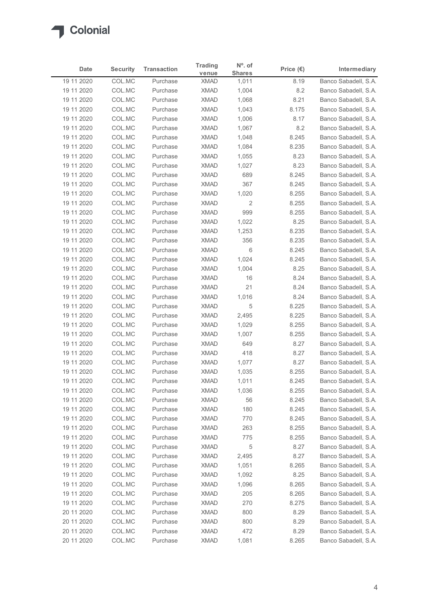| Date                     | <b>Security</b>  | <b>Transaction</b>   | <b>Trading</b><br>venue    | $No$ . of<br><b>Shares</b> | Price $(\epsilon)$ | Intermediary                                 |
|--------------------------|------------------|----------------------|----------------------------|----------------------------|--------------------|----------------------------------------------|
| 19 11 2020               | COL.MC           | Purchase             | <b>XMAD</b>                | 1,011                      | 8.19               | Banco Sabadell, S.A.                         |
| 19 11 2020               | COL.MC           | Purchase             | <b>XMAD</b>                | 1,004                      | 8.2                | Banco Sabadell, S.A.                         |
| 19 11 2020               | COL.MC           | Purchase             | <b>XMAD</b>                | 1,068                      | 8.21               | Banco Sabadell, S.A.                         |
| 19 11 2020<br>19 11 2020 | COL.MC<br>COL.MC | Purchase<br>Purchase | <b>XMAD</b><br><b>XMAD</b> | 1,043<br>1,006             | 8.175<br>8.17      | Banco Sabadell, S.A.<br>Banco Sabadell, S.A. |
| 19 11 2020               | COL.MC           | Purchase             | <b>XMAD</b>                | 1,067                      | 8.2                | Banco Sabadell, S.A.                         |
| 19 11 2020               | COL.MC           | Purchase             | <b>XMAD</b>                | 1,048                      | 8.245              | Banco Sabadell, S.A.                         |
| 19 11 2020               | COL.MC           | Purchase             | <b>XMAD</b>                | 1,084                      | 8.235              | Banco Sabadell, S.A.                         |
| 19 11 2020               | COL.MC           | Purchase             | <b>XMAD</b>                | 1,055                      | 8.23               | Banco Sabadell, S.A.                         |
| 19 11 2020               | COL.MC           | Purchase             | <b>XMAD</b>                | 1,027                      | 8.23               | Banco Sabadell, S.A.                         |
| 19 11 2020               | COL.MC           | Purchase             | <b>XMAD</b>                | 689                        | 8.245              | Banco Sabadell, S.A.                         |
| 19 11 2020               | COL.MC           | Purchase             | <b>XMAD</b>                | 367                        | 8.245              | Banco Sabadell, S.A.                         |
| 19 11 2020               | COL.MC           | Purchase             | <b>XMAD</b>                | 1,020                      | 8.255              | Banco Sabadell, S.A.                         |
| 19 11 2020               | COL.MC           | Purchase             | XMAD                       | $\overline{2}$             | 8.255              | Banco Sabadell, S.A.                         |
| 19 11 2020<br>19 11 2020 | COL.MC           | Purchase             | XMAD<br>XMAD               | 999                        | 8.255<br>8.25      | Banco Sabadell, S.A.                         |
| 19 11 2020               | COL.MC<br>COL.MC | Purchase<br>Purchase | XMAD                       | 1,022<br>1,253             | 8.235              | Banco Sabadell, S.A.<br>Banco Sabadell, S.A. |
| 19 11 2020               | COL.MC           | Purchase             | <b>XMAD</b>                | 356                        | 8.235              | Banco Sabadell, S.A.                         |
| 19 11 2020               | COL.MC           | Purchase             | <b>XMAD</b>                | 6                          | 8.245              | Banco Sabadell, S.A.                         |
| 19 11 2020               | COL.MC           | Purchase             | <b>XMAD</b>                | 1,024                      | 8.245              | Banco Sabadell, S.A.                         |
| 19 11 2020               | COL.MC           | Purchase             | <b>XMAD</b>                | 1,004                      | 8.25               | Banco Sabadell, S.A.                         |
| 19 11 2020               | COL.MC           | Purchase             | <b>XMAD</b>                | 16                         | 8.24               | Banco Sabadell, S.A.                         |
| 19 11 2020               | COL.MC           | Purchase             | <b>XMAD</b>                | 21                         | 8.24               | Banco Sabadell, S.A.                         |
| 19 11 2020               | COL.MC           | Purchase             | <b>XMAD</b>                | 1,016                      | 8.24               | Banco Sabadell, S.A.                         |
| 19 11 2020               | COL.MC           | Purchase             | <b>XMAD</b>                | 5                          | 8.225              | Banco Sabadell, S.A.                         |
| 19 11 2020               | COL.MC           | Purchase             | XMAD                       | 2,495                      | 8.225              | Banco Sabadell, S.A.                         |
| 19 11 2020               | COL.MC           | Purchase             | XMAD                       | 1,029                      | 8.255              | Banco Sabadell, S.A.                         |
| 19 11 2020               | COL.MC           | Purchase             | XMAD                       | 1,007                      | 8.255              | Banco Sabadell, S.A.                         |
| 19 11 2020               | COL.MC           | Purchase             | <b>XMAD</b>                | 649                        | 8.27               | Banco Sabadell, S.A.                         |
| 19 11 2020               | COL.MC           | Purchase             | <b>XMAD</b>                | 418                        | 8.27               | Banco Sabadell, S.A.                         |
| 19 11 2020               | COL.MC           | Purchase             | <b>XMAD</b>                | 1,077                      | 8.27               | Banco Sabadell, S.A.                         |
| 19 11 2020               | COL.MC           | Purchase             | <b>XMAD</b>                | 1,035                      | 8.255              | Banco Sabadell, S.A.                         |
| 19 11 2020<br>19 11 2020 | COL.MC<br>COL.MC | Purchase<br>Purchase | <b>XMAD</b><br><b>XMAD</b> | 1,011<br>1,036             | 8.245<br>8.255     | Banco Sabadell, S.A.<br>Banco Sabadell, S.A. |
| 19 11 2020               | COL.MC           | Purchase             | XMAD                       | 56                         | 8.245              | Banco Sabadell, S.A.                         |
| 19 11 2020               | COL.MC           | Purchase             | <b>XMAD</b>                | 180                        | 8.245              | Banco Sabadell, S.A.                         |
| 19 11 2020               | COL.MC           | Purchase             | <b>XMAD</b>                | 770                        | 8.245              | Banco Sabadell, S.A.                         |
| 19 11 2020               | COL.MC           | Purchase             | <b>XMAD</b>                | 263                        | 8.255              | Banco Sabadell, S.A.                         |
| 19 11 2020               | COL.MC           | Purchase             | XMAD                       | 775                        | 8.255              | Banco Sabadell, S.A.                         |
| 19 11 2020               | COL.MC           | Purchase             | <b>XMAD</b>                | 5                          | 8.27               | Banco Sabadell, S.A.                         |
| 19 11 2020               | COL.MC           | Purchase             | <b>XMAD</b>                | 2,495                      | 8.27               | Banco Sabadell, S.A.                         |
| 19 11 2020               | COL.MC           | Purchase             | <b>XMAD</b>                | 1,051                      | 8.265              | Banco Sabadell, S.A.                         |
| 19 11 2020               | COL.MC           | Purchase             | <b>XMAD</b>                | 1,092                      | 8.25               | Banco Sabadell, S.A.                         |
| 19 11 2020               | COL.MC           | Purchase             | <b>XMAD</b>                | 1,096                      | 8.265              | Banco Sabadell, S.A.                         |
| 19 11 2020               | COL.MC           | Purchase             | XMAD                       | 205                        | 8.265              | Banco Sabadell, S.A.                         |
| 19 11 2020               | COL.MC           | Purchase             | XMAD                       | 270                        | 8.275              | Banco Sabadell, S.A.                         |
| 20 11 2020               | COL.MC           | Purchase             | <b>XMAD</b>                | 800                        | 8.29               | Banco Sabadell, S.A.                         |
| 20 11 2020               | COL.MC           | Purchase             | <b>XMAD</b>                | 800                        | 8.29               | Banco Sabadell, S.A.                         |
| 20 11 2020               | COL.MC<br>COL.MC | Purchase<br>Purchase | <b>XMAD</b>                | 472                        | 8.29               | Banco Sabadell, S.A.                         |
| 20 11 20 20              |                  |                      | XMAD                       | 1,081                      | 8.265              | Banco Sabadell, S.A.                         |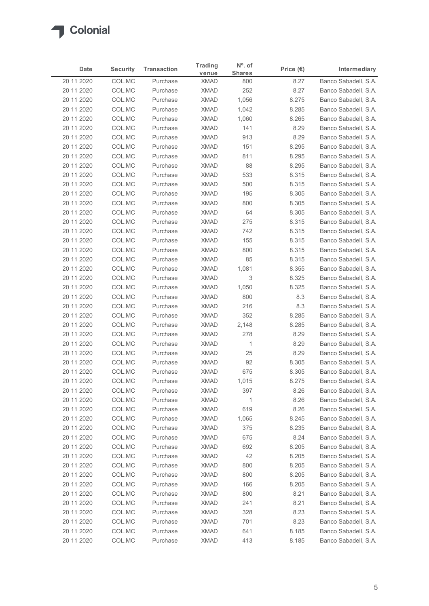|                          | <b>Security</b>  | <b>Transaction</b>   | <b>Trading</b>             | $No$ . of            | Price $(\epsilon)$ | Intermediary                                 |
|--------------------------|------------------|----------------------|----------------------------|----------------------|--------------------|----------------------------------------------|
| Date<br>20 11 2020       | COL.MC           | Purchase             | venue<br><b>XMAD</b>       | <b>Shares</b><br>800 | 8.27               | Banco Sabadell, S.A.                         |
| 20 11 2020               | COL.MC           | Purchase             | <b>XMAD</b>                | 252                  | 8.27               | Banco Sabadell, S.A.                         |
| 20 11 2020               | COL.MC           | Purchase             | <b>XMAD</b>                | 1,056                | 8.275              | Banco Sabadell, S.A.                         |
| 20 11 2020               | COL.MC           | Purchase             | <b>XMAD</b>                | 1,042                | 8.285              | Banco Sabadell, S.A.                         |
| 20 11 2020               | COL.MC           | Purchase             | <b>XMAD</b>                | 1,060                | 8.265              | Banco Sabadell, S.A.                         |
| 20 11 2020               | COL.MC           | Purchase             | <b>XMAD</b>                | 141                  | 8.29               | Banco Sabadell, S.A.                         |
| 20 11 2020               | COL.MC           | Purchase<br>Purchase | <b>XMAD</b><br><b>XMAD</b> | 913                  | 8.29               | Banco Sabadell, S.A.                         |
| 20 11 2020<br>20 11 2020 | COL.MC<br>COL.MC | Purchase             | <b>XMAD</b>                | 151<br>811           | 8.295<br>8.295     | Banco Sabadell, S.A.<br>Banco Sabadell, S.A. |
| 20 11 2020               | COL.MC           | Purchase             | <b>XMAD</b>                | 88                   | 8.295              | Banco Sabadell, S.A.                         |
| 20 11 2020               | COL.MC           | Purchase             | <b>XMAD</b>                | 533                  | 8.315              | Banco Sabadell, S.A.                         |
| 20 11 2020               | COL.MC           | Purchase             | <b>XMAD</b>                | 500                  | 8.315              | Banco Sabadell, S.A.                         |
| 20 11 2020               | COL.MC           | Purchase             | <b>XMAD</b>                | 195                  | 8.305              | Banco Sabadell, S.A.                         |
| 20 11 2020               | COL.MC           | Purchase             | XMAD                       | 800                  | 8.305              | Banco Sabadell, S.A.                         |
| 20 11 2020               | COL.MC           | Purchase             | <b>XMAD</b>                | 64                   | 8.305              | Banco Sabadell, S.A.                         |
| 20 11 2020               | COL.MC           | Purchase             | XMAD                       | 275                  | 8.315              | Banco Sabadell, S.A.                         |
| 20 11 2020<br>20 11 2020 | COL.MC<br>COL.MC | Purchase<br>Purchase | <b>XMAD</b><br><b>XMAD</b> | 742<br>155           | 8.315<br>8.315     | Banco Sabadell, S.A.<br>Banco Sabadell, S.A. |
| 20 11 2020               | COL.MC           | Purchase             | <b>XMAD</b>                | 800                  | 8.315              | Banco Sabadell, S.A.                         |
| 20 11 2020               | COL.MC           | Purchase             | <b>XMAD</b>                | 85                   | 8.315              | Banco Sabadell, S.A.                         |
| 20 11 2020               | COL.MC           | Purchase             | <b>XMAD</b>                | 1,081                | 8.355              | Banco Sabadell, S.A.                         |
| 20 11 2020               | COL.MC           | Purchase             | <b>XMAD</b>                | 3                    | 8.325              | Banco Sabadell, S.A.                         |
| 20 11 2020               | COL.MC           | Purchase             | <b>XMAD</b>                | 1,050                | 8.325              | Banco Sabadell, S.A.                         |
| 20 11 2020               | COL.MC           | Purchase             | <b>XMAD</b>                | 800                  | 8.3                | Banco Sabadell, S.A.                         |
| 20 11 2020               | COL.MC           | Purchase             | <b>XMAD</b>                | 216                  | 8.3                | Banco Sabadell, S.A.                         |
| 20 11 2020               | COL.MC           | Purchase             | <b>XMAD</b>                | 352                  | 8.285              | Banco Sabadell, S.A.                         |
| 20 11 2020               | COL.MC           | Purchase             | <b>XMAD</b>                | 2,148                | 8.285              | Banco Sabadell, S.A.                         |
| 20 11 2020<br>20 11 2020 | COL.MC<br>COL.MC | Purchase<br>Purchase | <b>XMAD</b><br><b>XMAD</b> | 278<br>$\mathbf{1}$  | 8.29<br>8.29       | Banco Sabadell, S.A.<br>Banco Sabadell, S.A. |
| 20 11 2020               | COL.MC           | Purchase             | <b>XMAD</b>                | 25                   | 8.29               | Banco Sabadell, S.A.                         |
| 20 11 2020               | COL.MC           | Purchase             | <b>XMAD</b>                | 92                   | 8.305              | Banco Sabadell, S.A.                         |
| 20 11 2020               | COL.MC           | Purchase             | <b>XMAD</b>                | 675                  | 8.305              | Banco Sabadell, S.A.                         |
| 20 11 2020               | COL.MC           | Purchase             | <b>XMAD</b>                | 1,015                | 8.275              | Banco Sabadell, S.A.                         |
| 20 11 2020               | COL.MC           | Purchase             | <b>XMAD</b>                | 397                  | 8.26               | Banco Sabadell, S.A.                         |
| 20 11 2020               | COL.MC           | Purchase             | XMAD                       | $\overline{1}$       | 8.26               | Banco Sabadell, S.A.                         |
| 20 11 2020               | COL.MC           | Purchase             | <b>XMAD</b>                | 619                  | 8.26               | Banco Sabadell, S.A.                         |
| 20 11 2020               | COL.MC           | Purchase             | <b>XMAD</b>                | 1,065                | 8.245              | Banco Sabadell, S.A.                         |
| 20 11 2020<br>20 11 2020 | COL.MC<br>COL.MC | Purchase<br>Purchase | <b>XMAD</b><br>XMAD        | 375<br>675           | 8.235<br>8.24      | Banco Sabadell, S.A.<br>Banco Sabadell, S.A. |
| 20 11 2020               | COL.MC           | Purchase             | <b>XMAD</b>                | 692                  | 8.205              | Banco Sabadell, S.A.                         |
| 20 11 2020               | COL.MC           | Purchase             | <b>XMAD</b>                | 42                   | 8.205              | Banco Sabadell, S.A.                         |
| 20 11 2020               | COL.MC           | Purchase             | <b>XMAD</b>                | 800                  | 8.205              | Banco Sabadell, S.A.                         |
| 20 11 2020               | COL.MC           | Purchase             | <b>XMAD</b>                | 800                  | 8.205              | Banco Sabadell, S.A.                         |
| 20 11 2020               | COL.MC           | Purchase             | <b>XMAD</b>                | 166                  | 8.205              | Banco Sabadell, S.A.                         |
| 20 11 2020               | COL.MC           | Purchase             | XMAD                       | 800                  | 8.21               | Banco Sabadell, S.A.                         |
| 20 11 2020               | COL.MC           | Purchase             | XMAD                       | 241                  | 8.21               | Banco Sabadell, S.A.                         |
| 20 11 2020               | COL.MC           | Purchase             | <b>XMAD</b>                | 328                  | 8.23               | Banco Sabadell, S.A.                         |
| 20 11 2020               | COL.MC           | Purchase             | <b>XMAD</b>                | 701                  | 8.23               | Banco Sabadell, S.A.                         |
| 20 11 2020               | COL.MC           | Purchase             | <b>XMAD</b>                | 641                  | 8.185              | Banco Sabadell, S.A.                         |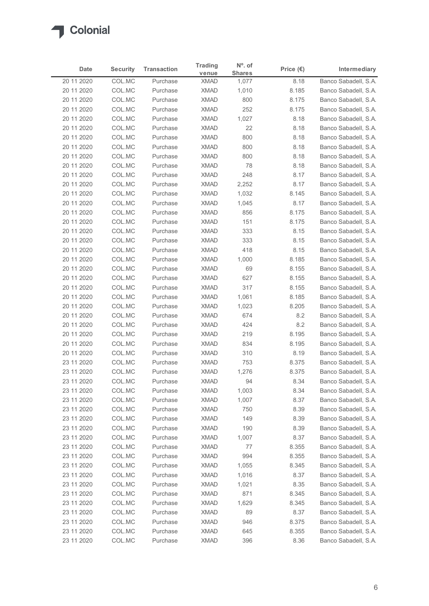| Date                     | <b>Security</b>  | <b>Transaction</b>   | <b>Trading</b>             | $No$ . of              | Price $(\epsilon)$ | Intermediary                                 |
|--------------------------|------------------|----------------------|----------------------------|------------------------|--------------------|----------------------------------------------|
| 20 11 2020               | COL.MC           | Purchase             | venue<br><b>XMAD</b>       | <b>Shares</b><br>1,077 | 8.18               | Banco Sabadell, S.A.                         |
| 20 11 2020               | COL.MC           | Purchase             | <b>XMAD</b>                | 1,010                  | 8.185              | Banco Sabadell, S.A.                         |
| 20 11 2020               | COL.MC           | Purchase             | <b>XMAD</b>                | 800                    | 8.175              | Banco Sabadell, S.A.                         |
| 20 11 2020               | COL.MC           | Purchase             | <b>XMAD</b>                | 252                    | 8.175              | Banco Sabadell, S.A.                         |
| 20 11 2020               | COL.MC           | Purchase             | <b>XMAD</b>                | 1,027                  | 8.18               | Banco Sabadell, S.A.                         |
| 20 11 2020               | COL.MC           | Purchase             | <b>XMAD</b>                | 22                     | 8.18               | Banco Sabadell, S.A.                         |
| 20 11 2020               | COL.MC           | Purchase             | <b>XMAD</b>                | 800                    | 8.18               | Banco Sabadell, S.A.                         |
| 20 11 2020<br>20 11 2020 | COL.MC<br>COL.MC | Purchase<br>Purchase | <b>XMAD</b><br><b>XMAD</b> | 800<br>800             | 8.18<br>8.18       | Banco Sabadell, S.A.<br>Banco Sabadell, S.A. |
| 20 11 2020               | COL.MC           | Purchase             | <b>XMAD</b>                | 78                     | 8.18               | Banco Sabadell, S.A.                         |
| 20 11 2020               | COL.MC           | Purchase             | <b>XMAD</b>                | 248                    | 8.17               | Banco Sabadell, S.A.                         |
| 20 11 2020               | COL.MC           | Purchase             | <b>XMAD</b>                | 2,252                  | 8.17               | Banco Sabadell, S.A.                         |
| 20 11 2020               | COL.MC           | Purchase             | <b>XMAD</b>                | 1,032                  | 8.145              | Banco Sabadell, S.A.                         |
| 20 11 2020               | COL.MC           | Purchase             | XMAD                       | 1,045                  | 8.17               | Banco Sabadell, S.A.                         |
| 20 11 2020               | COL.MC           | Purchase             | <b>XMAD</b>                | 856                    | 8.175              | Banco Sabadell, S.A.                         |
| 20 11 2020<br>20 11 2020 | COL.MC<br>COL.MC | Purchase<br>Purchase | XMAD<br><b>XMAD</b>        | 151<br>333             | 8.175<br>8.15      | Banco Sabadell, S.A.<br>Banco Sabadell, S.A. |
| 20 11 2020               | COL.MC           | Purchase             | <b>XMAD</b>                | 333                    | 8.15               | Banco Sabadell, S.A.                         |
| 20 11 2020               | COL.MC           | Purchase             | <b>XMAD</b>                | 418                    | 8.15               | Banco Sabadell, S.A.                         |
| 20 11 2020               | COL.MC           | Purchase             | <b>XMAD</b>                | 1,000                  | 8.185              | Banco Sabadell, S.A.                         |
| 20 11 2020               | COL.MC           | Purchase             | <b>XMAD</b>                | 69                     | 8.155              | Banco Sabadell, S.A.                         |
| 20 11 2020               | COL.MC           | Purchase             | XMAD                       | 627                    | 8.155              | Banco Sabadell, S.A.                         |
| 20 11 2020               | COL.MC           | Purchase             | <b>XMAD</b>                | 317                    | 8.155              | Banco Sabadell, S.A.                         |
| 20 11 2020               | COL.MC           | Purchase             | <b>XMAD</b>                | 1,061                  | 8.185              | Banco Sabadell, S.A.                         |
| 20 11 2020               | COL.MC           | Purchase             | <b>XMAD</b>                | 1,023                  | 8.205              | Banco Sabadell, S.A.                         |
| 20 11 2020<br>20 11 2020 | COL.MC<br>COL.MC | Purchase<br>Purchase | <b>XMAD</b><br><b>XMAD</b> | 674<br>424             | 8.2<br>8.2         | Banco Sabadell, S.A.<br>Banco Sabadell, S.A. |
| 20 11 2020               | COL.MC           | Purchase             | <b>XMAD</b>                | 219                    | 8.195              | Banco Sabadell, S.A.                         |
| 20 11 2020               | COL.MC           | Purchase             | XMAD                       | 834                    | 8.195              | Banco Sabadell, S.A.                         |
| 20 11 2020               | COL.MC           | Purchase             | <b>XMAD</b>                | 310                    | 8.19               | Banco Sabadell, S.A.                         |
| 23 11 2020               | COL.MC           | Purchase             | <b>XMAD</b>                | 753                    | 8.375              | Banco Sabadell, S.A.                         |
| 23 11 2020               | COL.MC           | Purchase             | <b>XMAD</b>                | 1,276                  | 8.375              | Banco Sabadell, S.A.                         |
| 23 11 2020               | COL.MC           | Purchase             | <b>XMAD</b>                | 94                     | 8.34               | Banco Sabadell, S.A.                         |
| 23 11 2020               | COL.MC           | Purchase             | <b>XMAD</b>                | 1,003                  | 8.34               | Banco Sabadell, S.A.                         |
| 23 11 2020               | COL.MC           | Purchase             | <b>XMAD</b>                | 1,007                  | 8.37               | Banco Sabadell, S.A.                         |
| 23 11 2020<br>23 11 2020 | COL.MC<br>COL.MC | Purchase<br>Purchase | <b>XMAD</b><br><b>XMAD</b> | 750<br>149             | 8.39<br>8.39       | Banco Sabadell, S.A.<br>Banco Sabadell, S.A. |
| 23 11 2020               | COL.MC           | Purchase             | <b>XMAD</b>                | 190                    | 8.39               | Banco Sabadell, S.A.                         |
| 23 11 2020               | COL.MC           | Purchase             | XMAD                       | 1,007                  | 8.37               | Banco Sabadell, S.A.                         |
| 23 11 2020               | COL.MC           | Purchase             | <b>XMAD</b>                | 77                     | 8.355              | Banco Sabadell, S.A.                         |
| 23 11 2020               | COL.MC           | Purchase             | <b>XMAD</b>                | 994                    | 8.355              | Banco Sabadell, S.A.                         |
| 23 11 2020               | COL.MC           | Purchase             | <b>XMAD</b>                | 1,055                  | 8.345              | Banco Sabadell, S.A.                         |
| 23 11 2020               | COL.MC           | Purchase             | <b>XMAD</b>                | 1,016                  | 8.37               | Banco Sabadell, S.A.                         |
| 23 11 2020               | COL.MC           | Purchase             | <b>XMAD</b>                | 1,021                  | 8.35               | Banco Sabadell, S.A.                         |
| 23 11 2020               | COL.MC           | Purchase             | <b>XMAD</b>                | 871                    | 8.345              | Banco Sabadell, S.A.                         |
| 23 11 2020<br>23 11 2020 | COL.MC           | Purchase<br>Purchase | <b>XMAD</b><br><b>XMAD</b> | 1,629<br>89            | 8.345              | Banco Sabadell, S.A.                         |
| 23 11 2020               | COL.MC<br>COL.MC | Purchase             | <b>XMAD</b>                | 946                    | 8.37<br>8.375      | Banco Sabadell, S.A.<br>Banco Sabadell, S.A. |
|                          | COL.MC           | Purchase             | <b>XMAD</b>                | 645                    | 8.355              | Banco Sabadell, S.A.                         |
| 23 11 2020               |                  | Purchase             | <b>XMAD</b>                | 396                    | 8.36               | Banco Sabadell, S.A.                         |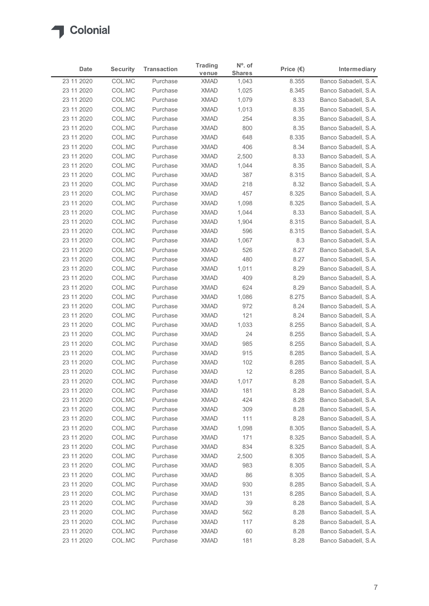| Date                     | <b>Security</b>  | <b>Transaction</b>   | <b>Trading</b>             | $No$ . of              | Price $(\epsilon)$ | Intermediary                                 |
|--------------------------|------------------|----------------------|----------------------------|------------------------|--------------------|----------------------------------------------|
| 23 11 2020               | COL.MC           | Purchase             | venue<br><b>XMAD</b>       | <b>Shares</b><br>1,043 | 8.355              | Banco Sabadell, S.A.                         |
| 23 11 2020               | COL.MC           | Purchase             | <b>XMAD</b>                | 1,025                  | 8.345              | Banco Sabadell, S.A.                         |
| 23 11 2020               | COL.MC           | Purchase             | <b>XMAD</b>                | 1,079                  | 8.33               | Banco Sabadell, S.A.                         |
| 23 11 2020               | COL.MC           | Purchase             | <b>XMAD</b>                | 1,013                  | 8.35               | Banco Sabadell, S.A.                         |
| 23 11 2020               | COL.MC           | Purchase             | <b>XMAD</b>                | 254                    | 8.35               | Banco Sabadell, S.A.                         |
| 23 11 2020<br>23 11 2020 | COL.MC<br>COL.MC | Purchase<br>Purchase | <b>XMAD</b><br><b>XMAD</b> | 800<br>648             | 8.35<br>8.335      | Banco Sabadell, S.A.<br>Banco Sabadell, S.A. |
| 23 11 2020               | COL.MC           | Purchase             | <b>XMAD</b>                | 406                    | 8.34               | Banco Sabadell, S.A.                         |
| 23 11 2020               | COL.MC           | Purchase             | <b>XMAD</b>                | 2,500                  | 8.33               | Banco Sabadell, S.A.                         |
| 23 11 2020               | COL.MC           | Purchase             | <b>XMAD</b>                | 1,044                  | 8.35               | Banco Sabadell, S.A.                         |
| 23 11 2020               | COL.MC           | Purchase             | <b>XMAD</b>                | 387                    | 8.315              | Banco Sabadell, S.A.                         |
| 23 11 2020               | COL.MC<br>COL.MC | Purchase<br>Purchase | <b>XMAD</b><br><b>XMAD</b> | 218<br>457             | 8.32<br>8.325      | Banco Sabadell, S.A.                         |
| 23 11 2020<br>23 11 2020 | COL.MC           | Purchase             | XMAD                       | 1,098                  | 8.325              | Banco Sabadell, S.A.<br>Banco Sabadell, S.A. |
| 23 11 2020               | COL.MC           | Purchase             | <b>XMAD</b>                | 1,044                  | 8.33               | Banco Sabadell, S.A.                         |
| 23 11 2020               | COL.MC           | Purchase             | XMAD                       | 1,904                  | 8.315              | Banco Sabadell, S.A.                         |
| 23 11 2020               | COL.MC           | Purchase             | <b>XMAD</b>                | 596                    | 8.315              | Banco Sabadell, S.A.                         |
| 23 11 2020               | COL.MC           | Purchase             | <b>XMAD</b>                | 1,067                  | 8.3                | Banco Sabadell, S.A.                         |
| 23 11 2020               | COL.MC           | Purchase             | <b>XMAD</b>                | 526                    | 8.27               | Banco Sabadell, S.A.<br>Banco Sabadell, S.A. |
| 23 11 2020<br>23 11 2020 | COL.MC<br>COL.MC | Purchase<br>Purchase | <b>XMAD</b><br><b>XMAD</b> | 480<br>1,011           | 8.27<br>8.29       | Banco Sabadell, S.A.                         |
| 23 11 2020               | COL.MC           | Purchase             | <b>XMAD</b>                | 409                    | 8.29               | Banco Sabadell, S.A.                         |
| 23 11 2020               | COL.MC           | Purchase             | XMAD                       | 624                    | 8.29               | Banco Sabadell, S.A.                         |
| 23 11 2020               | COL.MC           | Purchase             | <b>XMAD</b>                | 1,086                  | 8.275              | Banco Sabadell, S.A.                         |
| 23 11 2020               | COL.MC           | Purchase             | <b>XMAD</b>                | 972                    | 8.24               | Banco Sabadell, S.A.                         |
| 23 11 2020               | COL.MC           | Purchase             | <b>XMAD</b>                | 121                    | 8.24               | Banco Sabadell, S.A.                         |
| 23 11 2020<br>23 11 2020 | COL.MC<br>COL.MC | Purchase<br>Purchase | <b>XMAD</b><br><b>XMAD</b> | 1,033<br>24            | 8.255<br>8.255     | Banco Sabadell, S.A.<br>Banco Sabadell, S.A. |
| 23 11 2020               | COL.MC           | Purchase             | XMAD                       | 985                    | 8.255              | Banco Sabadell, S.A.                         |
| 23 11 2020               | COL.MC           | Purchase             | <b>XMAD</b>                | 915                    | 8.285              | Banco Sabadell, S.A.                         |
| 23 11 2020               | COL.MC           | Purchase             | <b>XMAD</b>                | 102                    | 8.285              | Banco Sabadell, S.A.                         |
| 23 11 2020               | COL.MC           | Purchase             | <b>XMAD</b>                | 12                     | 8.285              | Banco Sabadell, S.A.                         |
| 23 11 2020               | COL.MC           | Purchase             | <b>XMAD</b>                | 1,017                  | 8.28               | Banco Sabadell, S.A.                         |
| 23 11 2020               | COL.MC           | Purchase             | <b>XMAD</b>                | 181                    | 8.28               | Banco Sabadell, S.A.                         |
| 23 11 2020<br>23 11 2020 | COL.MC<br>COL.MC | Purchase<br>Purchase | <b>XMAD</b><br><b>XMAD</b> | 424<br>309             | 8.28<br>8.28       | Banco Sabadell, S.A.<br>Banco Sabadell, S.A. |
| 23 11 2020               | COL.MC           | Purchase             | <b>XMAD</b>                | 111                    | 8.28               | Banco Sabadell, S.A.                         |
| 23 11 2020               | COL.MC           | Purchase             | <b>XMAD</b>                | 1,098                  | 8.305              | Banco Sabadell, S.A.                         |
| 23 11 2020               | COL.MC           | Purchase             | XMAD                       | 171                    | 8.325              | Banco Sabadell, S.A.                         |
| 23 11 2020               | COL.MC           | Purchase             | <b>XMAD</b>                | 834                    | 8.325              | Banco Sabadell, S.A.                         |
| 23 11 2020               | COL.MC           | Purchase             | <b>XMAD</b>                | 2,500                  | 8.305              | Banco Sabadell, S.A.                         |
| 23 11 2020               | COL.MC           | Purchase             | <b>XMAD</b>                | 983                    | 8.305              | Banco Sabadell, S.A.                         |
| 23 11 2020               | COL.MC           | Purchase             | <b>XMAD</b><br><b>XMAD</b> | 86                     | 8.305<br>8.285     | Banco Sabadell, S.A.                         |
| 23 11 2020<br>23 11 2020 | COL.MC<br>COL.MC | Purchase<br>Purchase | XMAD                       | 930<br>131             | 8.285              | Banco Sabadell, S.A.<br>Banco Sabadell, S.A. |
| 23 11 2020               | COL.MC           | Purchase             | <b>XMAD</b>                | 39                     | 8.28               | Banco Sabadell, S.A.                         |
| 23 11 2020               | COL.MC           | Purchase             | <b>XMAD</b>                | 562                    | 8.28               | Banco Sabadell, S.A.                         |
| 23 11 2020               | COL.MC           | Purchase             | <b>XMAD</b>                | 117                    | 8.28               | Banco Sabadell, S.A.                         |
| 23 11 2020               | COL.MC           | Purchase             | <b>XMAD</b>                | 60                     | 8.28               | Banco Sabadell, S.A.                         |
| 23 11 2020               | COL.MC           | Purchase             | <b>XMAD</b>                | 181                    | 8.28               | Banco Sabadell, S.A.                         |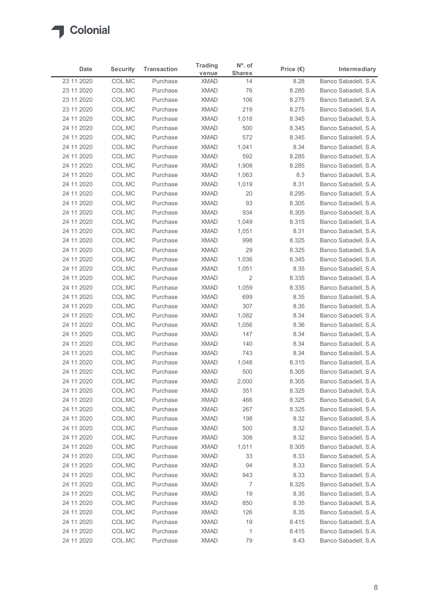# $\sqrt{2}$

|                          | <b>Security</b>  | <b>Transaction</b>   | <b>Trading</b>             | $No$ . of<br><b>Shares</b> | Price $(\epsilon)$ | Intermediary                                 |
|--------------------------|------------------|----------------------|----------------------------|----------------------------|--------------------|----------------------------------------------|
| 23 11 2020               | COL.MC           | Purchase             | venue<br><b>XMAD</b>       | 14                         | 8.28               | Banco Sabadell, S.A.                         |
| 23 11 2020               | COL.MC           | Purchase             | <b>XMAD</b>                | 76                         | 8.285              | Banco Sabadell, S.A.                         |
| 23 11 2020               | COL.MC           | Purchase             | <b>XMAD</b>                | 106                        | 8.275              | Banco Sabadell, S.A.                         |
| 23 11 2020               | COL.MC           | Purchase             | <b>XMAD</b>                | 219                        | 8.275              | Banco Sabadell, S.A.                         |
| 24 11 2020               | COL.MC           | Purchase             | <b>XMAD</b>                | 1,018                      | 8.345              | Banco Sabadell, S.A.                         |
| 24 11 2020<br>24 11 2020 | COL.MC<br>COL.MC | Purchase<br>Purchase | <b>XMAD</b><br><b>XMAD</b> | 500<br>572                 | 8.345<br>8.345     | Banco Sabadell, S.A.<br>Banco Sabadell, S.A. |
| 24 11 2020               | COL.MC           | Purchase             | <b>XMAD</b>                | 1,041                      | 8.34               | Banco Sabadell, S.A.                         |
| 24 11 2020               | COL.MC           | Purchase             | <b>XMAD</b>                | 592                        | 8.285              | Banco Sabadell, S.A.                         |
| 24 11 2020               | COL.MC           | Purchase             | <b>XMAD</b>                | 1,908                      | 8.285              | Banco Sabadell, S.A.                         |
| 24 11 2020               | COL.MC           | Purchase             | <b>XMAD</b>                | 1,063                      | 8.3                | Banco Sabadell, S.A.                         |
| 24 11 2020               | COL.MC           | Purchase             | <b>XMAD</b>                | 1,019                      | 8.31               | Banco Sabadell, S.A.                         |
| 24 11 2020<br>24 11 2020 | COL.MC<br>COL.MC | Purchase<br>Purchase | <b>XMAD</b><br>XMAD        | 20<br>93                   | 8.295<br>8.305     | Banco Sabadell, S.A.<br>Banco Sabadell, S.A. |
| 24 11 2020               | COL.MC           | Purchase             | <b>XMAD</b>                | 934                        | 8.305              | Banco Sabadell, S.A.                         |
| 24 11 2020               | COL.MC           | Purchase             | <b>XMAD</b>                | 1,049                      | 8.315              | Banco Sabadell, S.A.                         |
| 24 11 2020               | COL.MC           | Purchase             | XMAD                       | 1,051                      | 8.31               | Banco Sabadell, S.A.                         |
| 24 11 2020               | COL.MC           | Purchase             | <b>XMAD</b>                | 998                        | 8.325              | Banco Sabadell, S.A.                         |
| 24 11 2020               | COL.MC           | Purchase             | <b>XMAD</b>                | 29                         | 8.325              | Banco Sabadell, S.A.                         |
| 24 11 2020               | COL.MC           | Purchase             | <b>XMAD</b>                | 1,036                      | 8.345              | Banco Sabadell, S.A.                         |
| 24 11 2020<br>24 11 2020 | COL.MC<br>COL.MC | Purchase<br>Purchase | <b>XMAD</b><br><b>XMAD</b> | 1,051<br>$\overline{c}$    | 8.35<br>8.335      | Banco Sabadell, S.A.<br>Banco Sabadell, S.A. |
| 24 11 2020               | COL.MC           | Purchase             | XMAD                       | 1,059                      | 8.335              | Banco Sabadell, S.A.                         |
| 24 11 2020               | COL.MC           | Purchase             | <b>XMAD</b>                | 699                        | 8.35               | Banco Sabadell, S.A.                         |
| 24 11 2020               | COL.MC           | Purchase             | <b>XMAD</b>                | 307                        | 8.35               | Banco Sabadell, S.A.                         |
| 24 11 2020               | COL.MC           | Purchase             | <b>XMAD</b>                | 1,082                      | 8.34               | Banco Sabadell, S.A.                         |
| 24 11 2020               | COL.MC           | Purchase             | XMAD                       | 1,056                      | 8.36               | Banco Sabadell, S.A.                         |
| 24 11 2020               | COL.MC           | Purchase             | <b>XMAD</b>                | 147                        | 8.34               | Banco Sabadell, S.A.                         |
| 24 11 2020<br>24 11 2020 | COL.MC           | Purchase             | <b>XMAD</b>                | 140                        | 8.34               | Banco Sabadell, S.A.                         |
| 24 11 2020               | COL.MC<br>COL.MC | Purchase<br>Purchase | <b>XMAD</b><br><b>XMAD</b> | 743<br>1,048               | 8.34<br>8.315      | Banco Sabadell, S.A.<br>Banco Sabadell, S.A. |
| 24 11 2020               | COL.MC           | Purchase             | <b>XMAD</b>                | 500                        | 8.305              | Banco Sabadell, S.A.                         |
| 24 11 2020               | COL.MC           | Purchase             | XMAD                       | 2,000                      | 8.305              | Banco Sabadell, S.A.                         |
| 24 11 2020               | COL.MC           | Purchase             | <b>XMAD</b>                | 351                        | 8.325              | Banco Sabadell, S.A.                         |
| 24 11 2020               | COL.MC           | Purchase             | XMAD                       | 466                        | 8.325              | Banco Sabadell, S.A.                         |
| 24 11 2020               | COL.MC           | Purchase             | XMAD                       | 267                        | 8.325              | Banco Sabadell, S.A.                         |
| 24 11 2020               | COL.MC           | Purchase             | <b>XMAD</b>                | 198                        | 8.32               | Banco Sabadell, S.A.                         |
| 24 11 2020               | COL.MC           | Purchase<br>Purchase | <b>XMAD</b>                | 500                        | 8.32               | Banco Sabadell, S.A.                         |
| 24 11 2020<br>24 11 2020 | COL.MC<br>COL.MC | Purchase             | <b>XMAD</b><br><b>XMAD</b> | 308<br>1,011               | 8.32<br>8.305      | Banco Sabadell, S.A.<br>Banco Sabadell, S.A. |
| 24 11 2020               | COL.MC           | Purchase             | <b>XMAD</b>                | 33                         | 8.33               | Banco Sabadell, S.A.                         |
| 24 11 2020               | COL.MC           | Purchase             | <b>XMAD</b>                | 94                         | 8.33               | Banco Sabadell, S.A.                         |
| 24 11 2020               | COL.MC           | Purchase             | <b>XMAD</b>                | 943                        | 8.33               | Banco Sabadell, S.A.                         |
| 24 11 2020               | COL.MC           | Purchase             | <b>XMAD</b>                | $\overline{7}$             | 8.325              | Banco Sabadell, S.A.                         |
| 24 11 2020               | COL.MC           | Purchase             | <b>XMAD</b>                | 19                         | 8.35               | Banco Sabadell, S.A.                         |
| 24 11 2020               | COL.MC           | Purchase             | <b>XMAD</b>                | 850                        | 8.35               | Banco Sabadell, S.A.                         |
| 24 11 2020               | COL.MC           | Purchase             | <b>XMAD</b>                | 126                        | 8.35               | Banco Sabadell, S.A.                         |
| 24 11 2020               | COL.MC           | Purchase             | <b>XMAD</b>                | 19                         | 8.415              | Banco Sabadell, S.A.                         |
| 24 11 2020               | COL.MC<br>COL.MC | Purchase<br>Purchase | <b>XMAD</b><br><b>XMAD</b> | $\mathbf{1}$<br>79         | 8.415<br>8.43      | Banco Sabadell, S.A.<br>Banco Sabadell, S.A. |